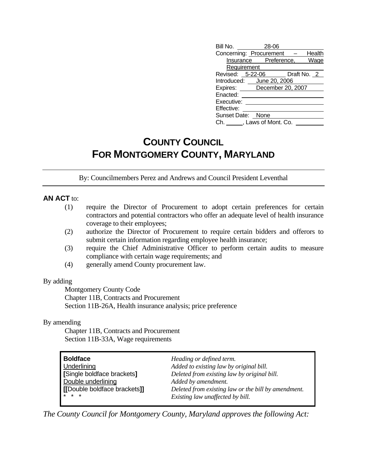| Bill No. 28-06    |                                                                                                                                                                                     |
|-------------------|-------------------------------------------------------------------------------------------------------------------------------------------------------------------------------------|
|                   | Health                                                                                                                                                                              |
|                   |                                                                                                                                                                                     |
| Requirement       |                                                                                                                                                                                     |
|                   |                                                                                                                                                                                     |
|                   |                                                                                                                                                                                     |
|                   |                                                                                                                                                                                     |
|                   |                                                                                                                                                                                     |
|                   |                                                                                                                                                                                     |
|                   |                                                                                                                                                                                     |
| Sunset Date: None |                                                                                                                                                                                     |
|                   |                                                                                                                                                                                     |
|                   | Concerning: Procurement -<br>Insurance Preference, Wage<br>Revised: 5-22-06 Draft No. 2<br>Introduced: June 20, 2006<br>Expires: December 20, 2007<br>Ch. ______, Laws of Mont. Co. |

# **COUNTY COUNCIL FOR MONTGOMERY COUNTY, MARYLAND**

By: Councilmembers Perez and Andrews and Council President Leventhal

### **AN ACT** to:

- (1) require the Director of Procurement to adopt certain preferences for certain contractors and potential contractors who offer an adequate level of health insurance coverage to their employees;
- (2) authorize the Director of Procurement to require certain bidders and offerors to submit certain information regarding employee health insurance;
- (3) require the Chief Administrative Officer to perform certain audits to measure compliance with certain wage requirements; and
- (4) generally amend County procurement law.

#### By adding

 Montgomery County Code Chapter 11B, Contracts and Procurement Section 11B-26A, Health insurance analysis; price preference

#### By amending

 Chapter 11B, Contracts and Procurement Section 11B-33A, Wage requirements

| <b>Boldface</b>              | Heading or defined term.                            |
|------------------------------|-----------------------------------------------------|
| <b>Underlining</b>           | Added to existing law by original bill.             |
| [Single boldface brackets]   | Deleted from existing law by original bill.         |
| Double underlining           | Added by amendment.                                 |
| [[Double boldface brackets]] | Deleted from existing law or the bill by amendment. |
| <b>x</b> * *                 | Existing law unaffected by bill.                    |

*The County Council for Montgomery County, Maryland approves the following Act:*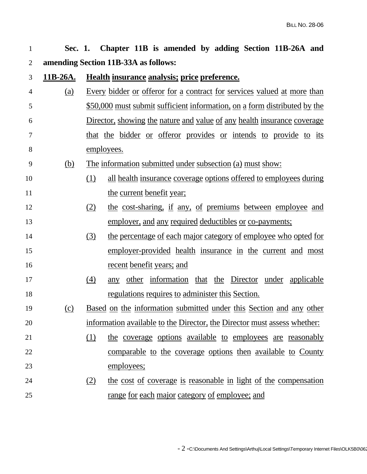| $\mathbf{1}$ | Sec. 1.          | Chapter 11B is amended by adding Section 11B-26A and                           |
|--------------|------------------|--------------------------------------------------------------------------------|
| 2            |                  | amending Section 11B-33A as follows:                                           |
| 3            | 11 <b>B-26A.</b> | Health insurance analysis; price preference.                                   |
| 4            | (a)              | Every bidder or offeror for a contract for services valued at more than        |
| 5            |                  | \$50,000 must submit sufficient information, on a form distributed by the      |
| 6            |                  | <u>Director, showing the nature and value of any health insurance coverage</u> |
| 7            |                  | that the bidder or offeror provides or intends to provide to its               |
| 8            |                  | employees.                                                                     |
| 9            | <u>(b)</u>       | <u>The information submitted under subsection (a) must show:</u>               |
| 10           |                  | all health insurance coverage options offered to employees during<br>(1)       |
| 11           |                  | the current benefit year;                                                      |
| 12           |                  | the cost-sharing, if any, of premiums between employee and<br>(2)              |
| 13           |                  | employer, and any required deductibles or co-payments;                         |
| 14           |                  | (3)<br>the percentage of each major category of employee who opted for         |
| 15           |                  | employer-provided health insurance in the current and most                     |
| 16           |                  | <u>recent</u> benefit years; and                                               |
| 17           |                  | (4)<br>any other information that the Director under applicable                |
| 18           |                  | regulations requires to administer this Section.                               |
| 19           | (c)              | <u>Based on the information submitted under this Section and any other</u>     |
| 20           |                  | information available to the Director, the Director must assess whether:       |
| 21           |                  | (1)<br>the coverage options available to employees are reasonably              |
| 22           |                  | comparable to the coverage options then available to County                    |
| 23           |                  | employees;                                                                     |
| 24           |                  | the cost of coverage is reasonable in light of the compensation<br>(2)         |
| 25           |                  | range for each major category of employee; and                                 |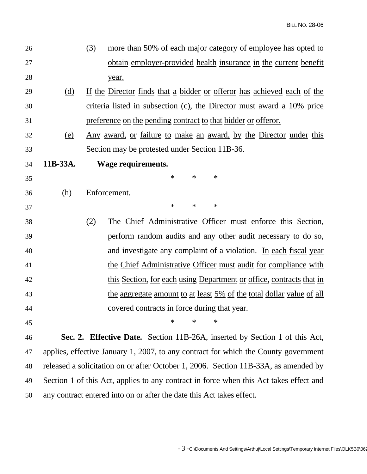| 26 |          | more than 50% of each major category of employee has opted to<br>(3)        |
|----|----------|-----------------------------------------------------------------------------|
| 27 |          | obtain employer-provided health insurance in the current benefit            |
| 28 |          | year.                                                                       |
| 29 | (d)      | If the Director finds that a bidder or offeror has achieved each of the     |
| 30 |          | criteria listed in subsection (c), the Director must award a 10% price      |
| 31 |          | preference on the pending contract to that bidder or offeror.               |
| 32 | (e)      | Any award, or failure to make an award, by the Director under this          |
| 33 |          | Section may be protested under Section 11B-36.                              |
| 34 | 11B-33A. | Wage requirements.                                                          |
| 35 |          | $\ast$<br>$\ast$<br>$\ast$                                                  |
| 36 | (h)      | Enforcement.                                                                |
| 37 |          | $\ast$<br>$\ast$<br>$\ast$                                                  |
| 38 |          | The Chief Administrative Officer must enforce this Section,<br>(2)          |
| 39 |          | perform random audits and any other audit necessary to do so,               |
| 40 |          | and investigate any complaint of a violation. In each fiscal year           |
| 41 |          | the Chief Administrative Officer must audit for compliance with             |
| 42 |          | this Section, for each using Department or office, contracts that in        |
| 43 |          | <u>the aggregate amount to at least 5% of the total dollar value of all</u> |
| 44 |          | <u>covered</u> contracts in force during that year.                         |
| 45 |          | $\ast$<br>$\ast$<br>∗                                                       |
| 46 |          | Sec. 2. Effective Date. Section 11B-26A, inserted by Section 1 of this Act, |
|    |          |                                                                             |

47 applies, effective January 1, 2007, to any contract for which the County government 48 released a solicitation on or after October 1, 2006. Section 11B-33A, as amended by 49 Section 1 of this Act, applies to any contract in force when this Act takes effect and 50 any contract entered into on or after the date this Act takes effect.